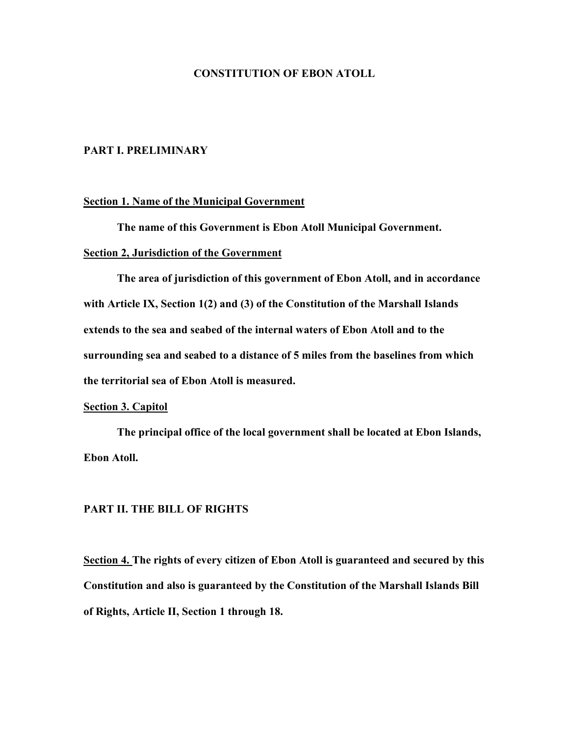### **CONSTITUTION OF EBON ATOLL**

### **PART I. PRELIMINARY**

### **Section 1. Name of the Municipal Government**

**The name of this Government is Ebon Atoll Municipal Government.**

### **Section 2, Jurisdiction of the Government**

**The area of jurisdiction of this government of Ebon Atoll, and in accordance with Article IX, Section 1(2) and (3) of the Constitution of the Marshall Islands extends to the sea and seabed of the internal waters of Ebon Atoll and to the surrounding sea and seabed to a distance of 5 miles from the baselines from which the territorial sea of Ebon Atoll is measured.**

#### **Section 3. Capitol**

**The principal office of the local government shall be located at Ebon Islands, Ebon Atoll.**

### **PART II. THE BILL OF RIGHTS**

**Section 4. The rights of every citizen of Ebon Atoll is guaranteed and secured by this Constitution and also is guaranteed by the Constitution of the Marshall Islands Bill of Rights, Article II, Section 1 through 18.**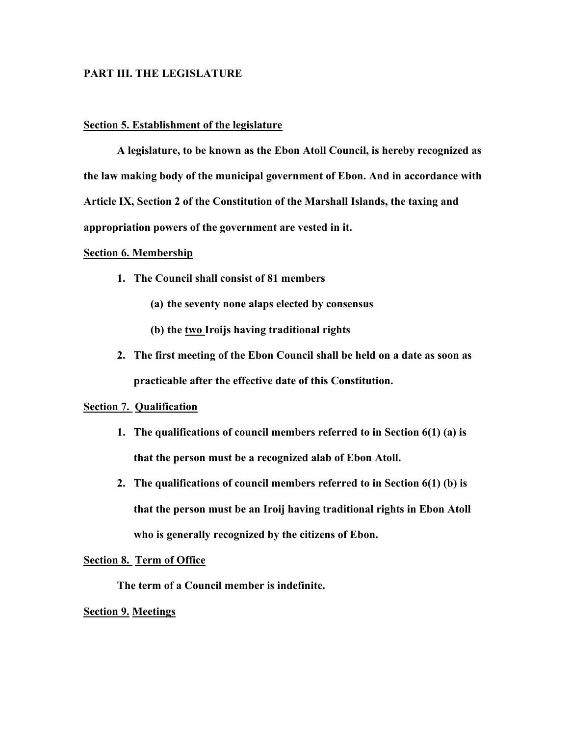### **PART III. THE LEGISLATURE**

#### **Section 5. Establishment of the legislature**

**A legislature, to be known as the Ebon Atoll Council, is hereby recognized as the law making body of the municipal government of Ebon. And in accordance with Article IX, Section 2 of the Constitution of the Marshall Islands, the taxing and appropriation powers of the government are vested in it.**

#### **Section 6. Membership**

- **1. The Council shall consist of 81 members**
	- **(a) the seventy none alaps elected by consensus**
	- **(b) the two Iroijs having traditional rights**
- **2. The first meeting of the Ebon Council shall be held on a date as soon as practicable after the effective date of this Constitution.**

### **Section 7. Qualification**

- **1. The qualifications of council members referred to in Section 6(1) (a) is that the person must be a recognized alab of Ebon Atoll.**
- **2. The qualifications of council members referred to in Section 6(1) (b) is that the person must be an Iroij having traditional rights in Ebon Atoll who is generally recognized by the citizens of Ebon.**

#### **Section 8. Term of Office**

**The term of a Council member is indefinite.**

### **Section 9. Meetings**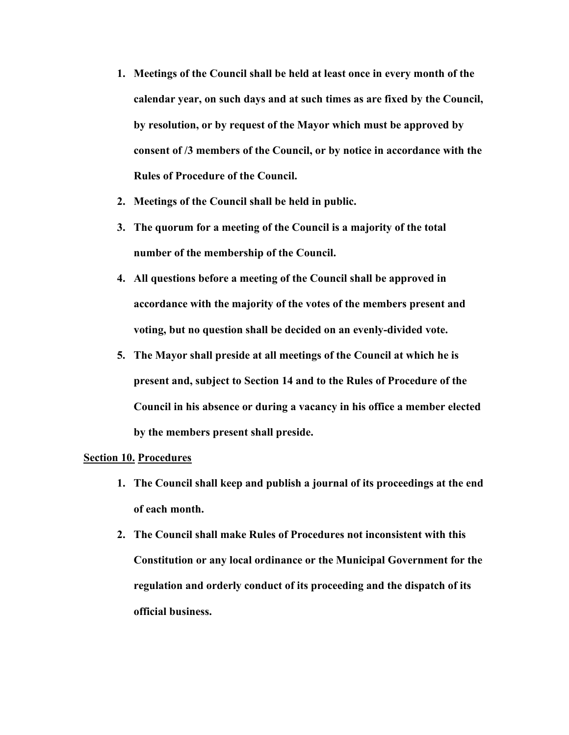- **1. Meetings of the Council shall be held at least once in every month of the calendar year, on such days and at such times as are fixed by the Council, by resolution, or by request of the Mayor which must be approved by consent of /3 members of the Council, or by notice in accordance with the Rules of Procedure of the Council.**
- **2. Meetings of the Council shall be held in public.**
- **3. The quorum for a meeting of the Council is a majority of the total number of the membership of the Council.**
- **4. All questions before a meeting of the Council shall be approved in accordance with the majority of the votes of the members present and voting, but no question shall be decided on an evenly-divided vote.**
- **5. The Mayor shall preside at all meetings of the Council at which he is present and, subject to Section 14 and to the Rules of Procedure of the Council in his absence or during a vacancy in his office a member elected by the members present shall preside.**

### **Section 10. Procedures**

- **1. The Council shall keep and publish a journal of its proceedings at the end of each month.**
- **2. The Council shall make Rules of Procedures not inconsistent with this Constitution or any local ordinance or the Municipal Government for the regulation and orderly conduct of its proceeding and the dispatch of its official business.**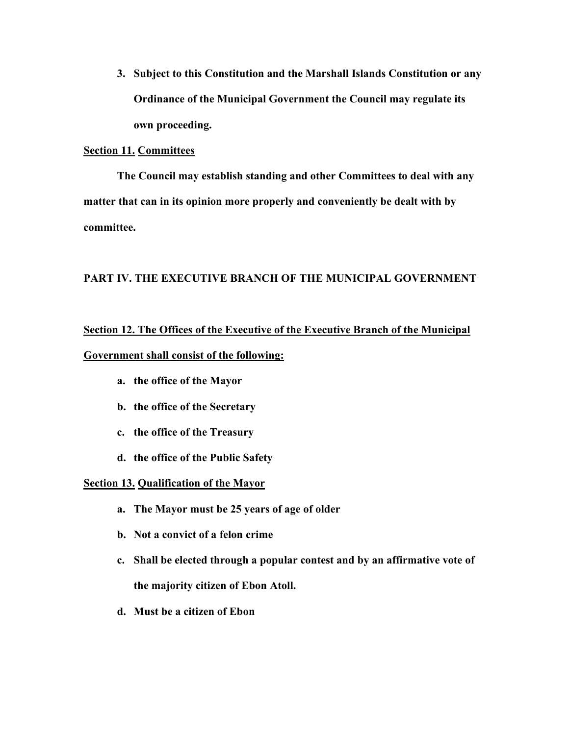**3. Subject to this Constitution and the Marshall Islands Constitution or any Ordinance of the Municipal Government the Council may regulate its own proceeding.**

### **Section 11. Committees**

**The Council may establish standing and other Committees to deal with any matter that can in its opinion more properly and conveniently be dealt with by committee.**

## **PART IV. THE EXECUTIVE BRANCH OF THE MUNICIPAL GOVERNMENT**

# **Section 12. The Offices of the Executive of the Executive Branch of the Municipal**

### **Government shall consist of the following:**

- **a. the office of the Mayor**
- **b. the office of the Secretary**
- **c. the office of the Treasury**
- **d. the office of the Public Safety**

## **Section 13. Qualification of the Mayor**

- **a. The Mayor must be 25 years of age of older**
- **b. Not a convict of a felon crime**
- **c. Shall be elected through a popular contest and by an affirmative vote of the majority citizen of Ebon Atoll.**
- **d. Must be a citizen of Ebon**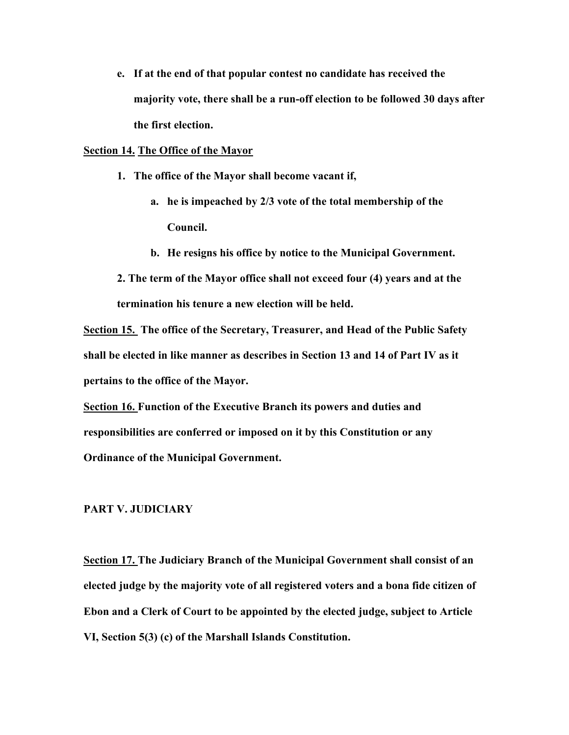**e. If at the end of that popular contest no candidate has received the majority vote, there shall be a run-off election to be followed 30 days after the first election.**

### **Section 14. The Office of the Mayor**

- **1. The office of the Mayor shall become vacant if,**
	- **a. he is impeached by 2/3 vote of the total membership of the Council.**
	- **b. He resigns his office by notice to the Municipal Government.**

**2. The term of the Mayor office shall not exceed four (4) years and at the termination his tenure a new election will be held.**

**Section 15. The office of the Secretary, Treasurer, and Head of the Public Safety shall be elected in like manner as describes in Section 13 and 14 of Part IV as it pertains to the office of the Mayor.**

**Section 16. Function of the Executive Branch its powers and duties and responsibilities are conferred or imposed on it by this Constitution or any Ordinance of the Municipal Government.**

### **PART V. JUDICIARY**

**Section 17. The Judiciary Branch of the Municipal Government shall consist of an elected judge by the majority vote of all registered voters and a bona fide citizen of Ebon and a Clerk of Court to be appointed by the elected judge, subject to Article VI, Section 5(3) (c) of the Marshall Islands Constitution.**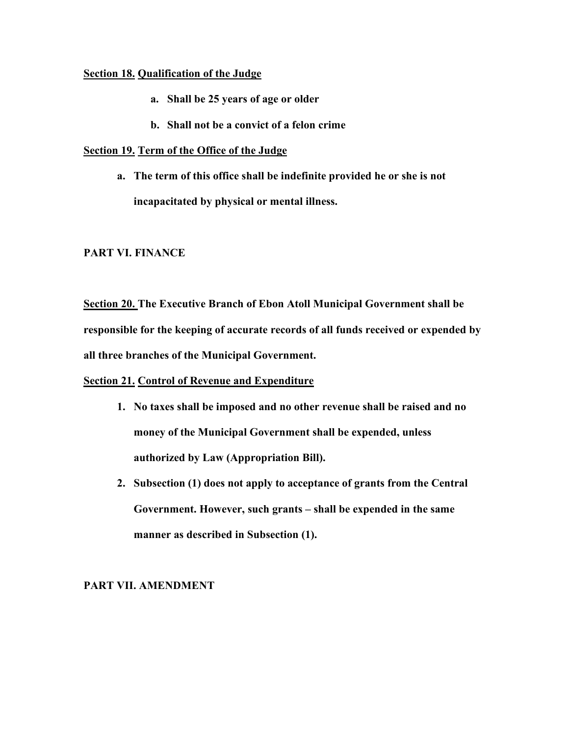## **Section 18. Qualification of the Judge**

- **a. Shall be 25 years of age or older**
- **b. Shall not be a convict of a felon crime**

# **Section 19. Term of the Office of the Judge**

**a. The term of this office shall be indefinite provided he or she is not incapacitated by physical or mental illness.**

# **PART VI. FINANCE**

**Section 20. The Executive Branch of Ebon Atoll Municipal Government shall be responsible for the keeping of accurate records of all funds received or expended by all three branches of the Municipal Government.**

# **Section 21. Control of Revenue and Expenditure**

- **1. No taxes shall be imposed and no other revenue shall be raised and no money of the Municipal Government shall be expended, unless authorized by Law (Appropriation Bill).**
- **2. Subsection (1) does not apply to acceptance of grants from the Central Government. However, such grants – shall be expended in the same manner as described in Subsection (1).**

# **PART VII. AMENDMENT**